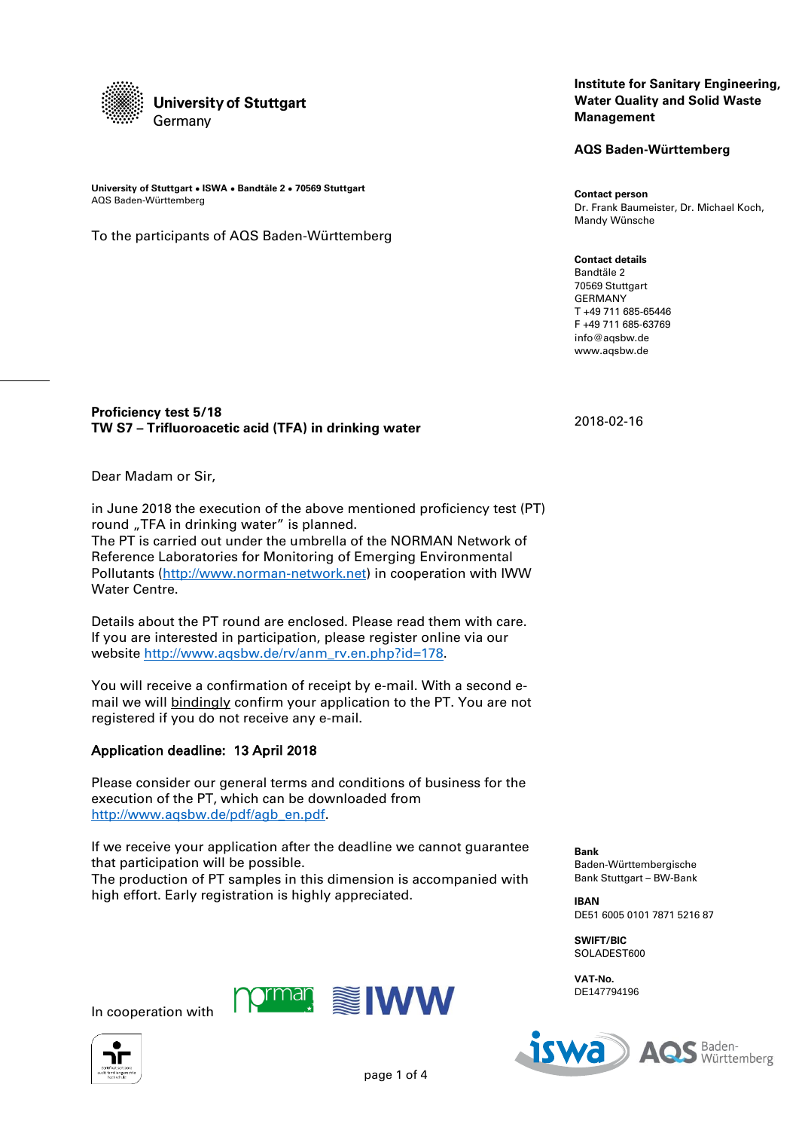

**University of Stuttgart ● ISWA ● Bandtäle 2 ● 70569 Stuttgart** AQS Baden-Württemberg

To the participants of AQS Baden-Württemberg

### **Institute for Sanitary Engineering, Water Quality and Solid Waste Management**

**AQS Baden-Württemberg**

**Contact person** Dr. Frank Baumeister, Dr. Michael Koch, Mandy Wünsche

**Contact details** Bandtäle 2 70569 Stuttgart GERMANY T +49 711 685-65446 F +49 711 685-63769 info@aqsbw.de www.aqsbw.de

2018-02-16

# **Proficiency test 5/18 TW S7 – Trifluoroacetic acid (TFA) in drinking water**

Dear Madam or Sir,

Water Centre.

in June 2018 the execution of the above mentioned proficiency test (PT) round "TFA in drinking water" is planned. The PT is carried out under the umbrella of the NORMAN Network of Reference Laboratories for Monitoring of Emerging Environmental Pollutants [\(http://www.norman-network.net\)](http://www.norman-network.net/) in cooperation with IWW

Details about the PT round are enclosed. Please read them with care. If you are interested in participation, please register online via our website [http://www.aqsbw.de/rv/anm\\_rv.en.php?id=178.](http://www.aqsbw.de/rv/anm_rv.en.php?id=178)

You will receive a confirmation of receipt by e-mail. With a second email we will bindingly confirm your application to the PT. You are not registered if you do not receive any e-mail.

# Application deadline: 13 April 2018

Please consider our general terms and conditions of business for the execution of the PT, which can be downloaded from [http://www.aqsbw.de/pdf/agb\\_en.pdf.](http://www.aqsbw.de/pdf/agb_en.pdf)

If we receive your application after the deadline we cannot guarantee that participation will be possible. The production of PT samples in this dimension is accompanied with high effort. Early registration is highly appreciated.

**Bank** Baden-Württembergische Bank Stuttgart – BW-Bank

**IBAN** DE51 6005 0101 7871 5216 87

**SWIFT/BIC** SOLADEST600

**VAT-No.** DE147794196





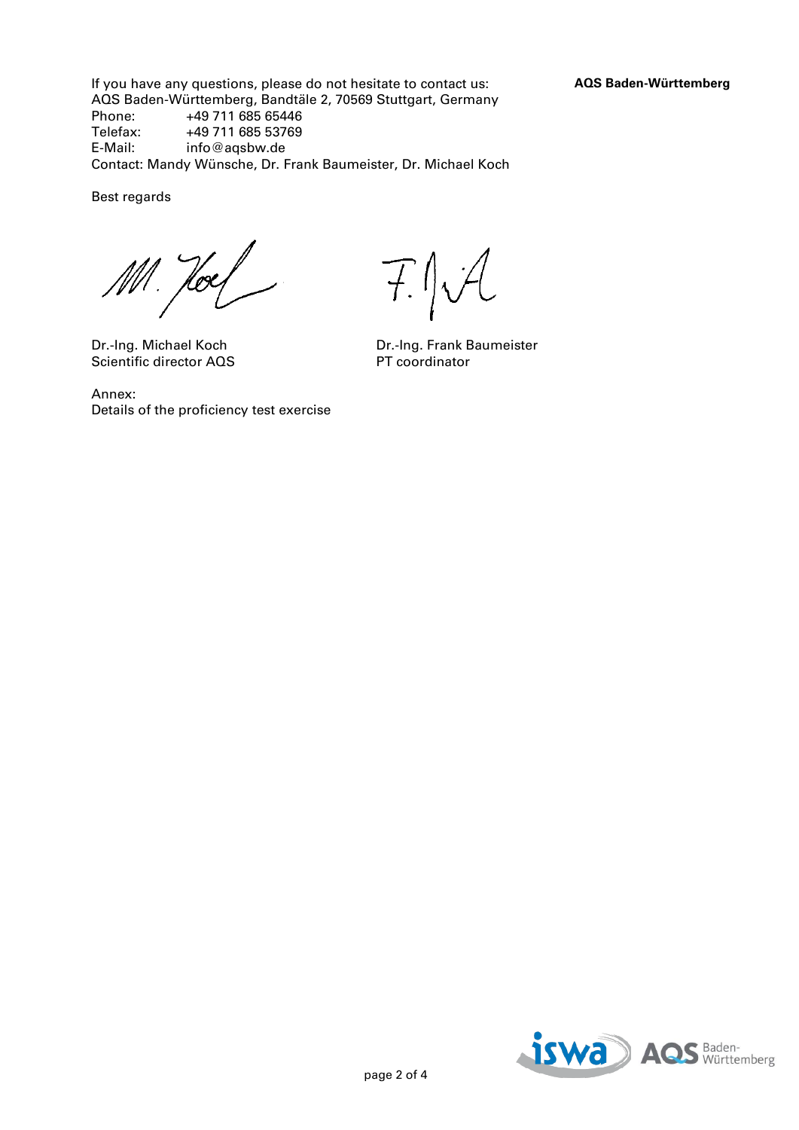If you have any questions, please do not hesitate to contact us: **AQS Baden-Württemberg** AQS Baden-Württemberg, Bandtäle 2, 70569 Stuttgart, Germany<br>Phone: +49 711 685 65446 +49 711 685 65446 Telefax: +49 711 685 53769<br>E-Mail: info@agsbw.de info@aqsbw.de Contact: Mandy Wünsche, Dr. Frank Baumeister, Dr. Michael Koch

Best regards

Hoes

Scientific director AQS

Annex: Details of the proficiency test exercise

F.J.A

Dr.-Ing. Michael Koch Dr.-Ing. Frank Baumeister<br>Scientific director AQS PT coordinator

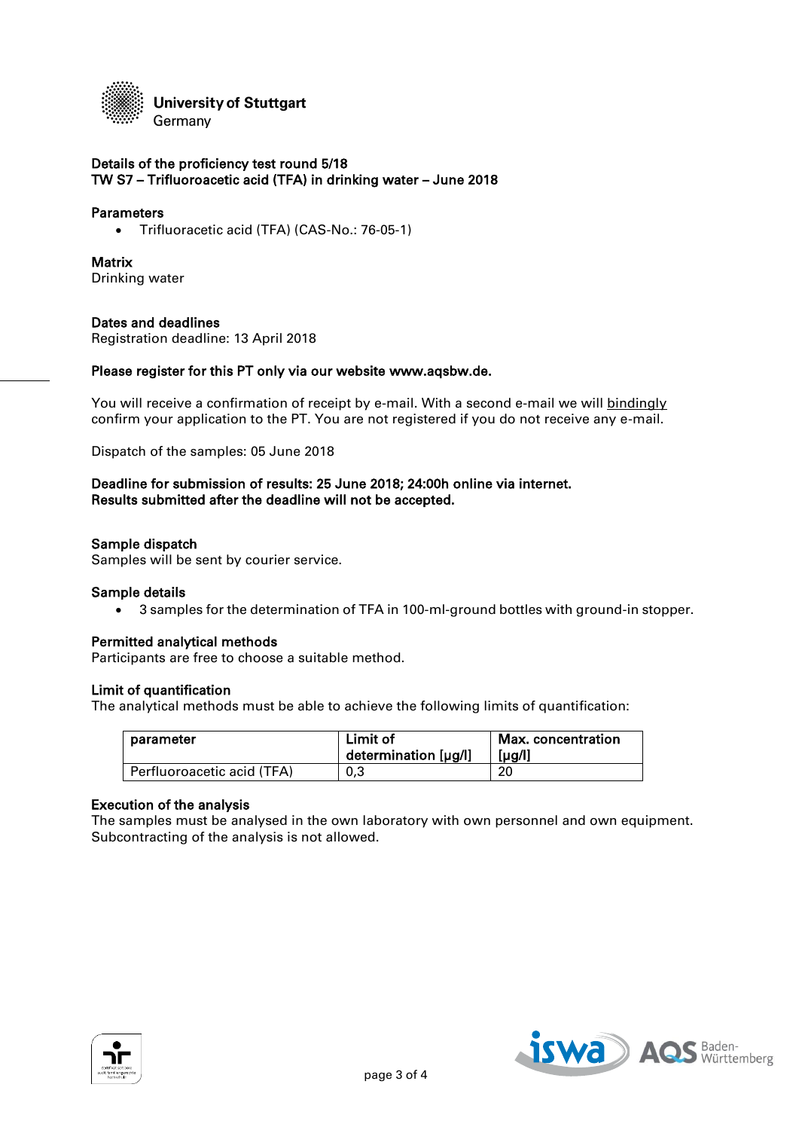

### Details of the proficiency test round 5/18 TW S7 – Trifluoroacetic acid (TFA) in drinking water – June 2018

#### **Parameters**

Trifluoracetic acid (TFA) (CAS-No.: 76-05-1)

### **Matrix**

Drinking water

### Dates and deadlines

Registration deadline: 13 April 2018

#### Please register for this PT only via our website www.aqsbw.de.

You will receive a confirmation of receipt by e-mail. With a second e-mail we will bindingly confirm your application to the PT. You are not registered if you do not receive any e-mail.

Dispatch of the samples: 05 June 2018

# Deadline for submission of results: 25 June 2018; 24:00h online via internet. Results submitted after the deadline will not be accepted.

#### Sample dispatch

Samples will be sent by courier service.

#### Sample details

3 samples for the determination of TFA in 100-ml-ground bottles with ground-in stopper.

#### Permitted analytical methods

Participants are free to choose a suitable method.

#### Limit of quantification

The analytical methods must be able to achieve the following limits of quantification:

| parameter                  | Limit of<br>determination [µg/l] | Max. concentration<br>$[\mu$ g/l] |
|----------------------------|----------------------------------|-----------------------------------|
| Perfluoroacetic acid (TFA) | 0,3                              | 20                                |

#### Execution of the analysis

The samples must be analysed in the own laboratory with own personnel and own equipment. Subcontracting of the analysis is not allowed.